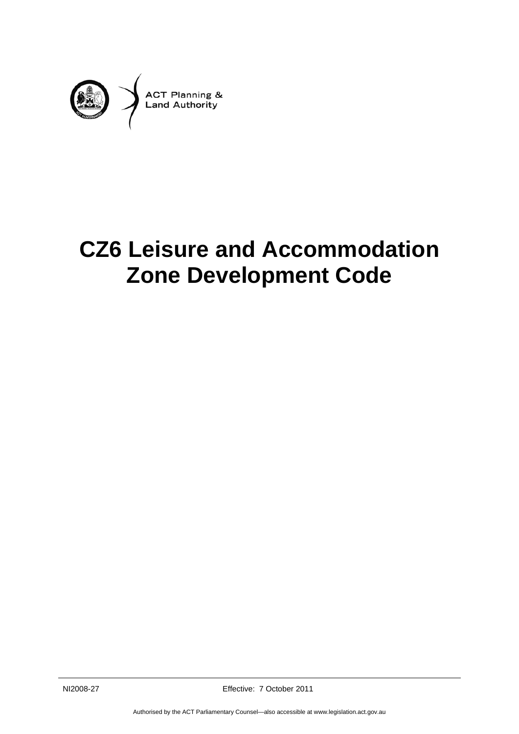

# **CZ6 Leisure and Accommodation Zone Development Code**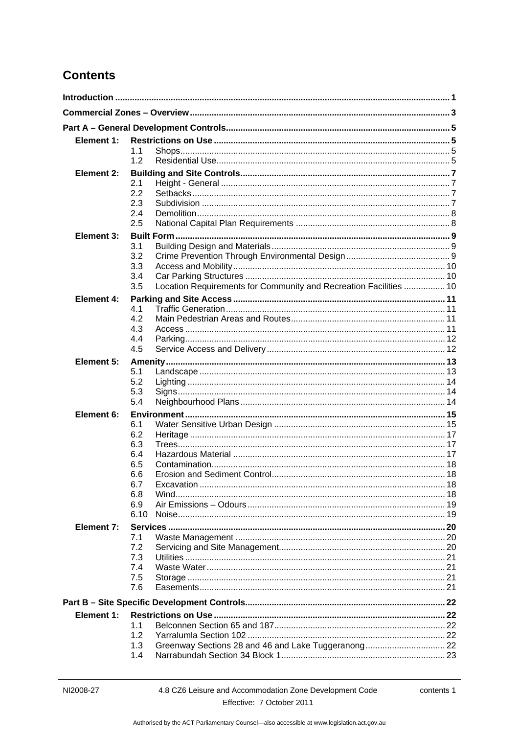# **Contents**

| Element 1:        |                                                                          |  |  |
|-------------------|--------------------------------------------------------------------------|--|--|
|                   | 1.1                                                                      |  |  |
|                   | 1.2                                                                      |  |  |
| <b>Element 2:</b> |                                                                          |  |  |
|                   | 2.1                                                                      |  |  |
|                   | 2.2                                                                      |  |  |
|                   | 2.3                                                                      |  |  |
|                   | 2.4                                                                      |  |  |
|                   | 2.5                                                                      |  |  |
| <b>Element 3:</b> |                                                                          |  |  |
|                   | 3.1                                                                      |  |  |
|                   | 3.2                                                                      |  |  |
|                   | 3.3                                                                      |  |  |
|                   | 3.4                                                                      |  |  |
|                   | Location Requirements for Community and Recreation Facilities  10<br>3.5 |  |  |
| Element 4:        |                                                                          |  |  |
|                   | 4.1<br>4.2                                                               |  |  |
|                   | 4.3                                                                      |  |  |
|                   | 4.4                                                                      |  |  |
|                   | 4.5                                                                      |  |  |
| Element 5:        |                                                                          |  |  |
|                   | 5.1                                                                      |  |  |
|                   | 5.2                                                                      |  |  |
|                   | 5.3                                                                      |  |  |
|                   | 5.4                                                                      |  |  |
| Element 6:        |                                                                          |  |  |
|                   | 6.1                                                                      |  |  |
|                   | 6.2                                                                      |  |  |
|                   | 6.3                                                                      |  |  |
|                   | 6.4                                                                      |  |  |
|                   | 6.5                                                                      |  |  |
|                   | 6.6                                                                      |  |  |
|                   | 6.7                                                                      |  |  |
|                   | 6.8<br>Wind.                                                             |  |  |
|                   | 6.9<br>6.10                                                              |  |  |
|                   |                                                                          |  |  |
| Element 7:        |                                                                          |  |  |
|                   | 7.1<br>7.2                                                               |  |  |
|                   | 7.3                                                                      |  |  |
|                   | 7.4                                                                      |  |  |
|                   | 7.5                                                                      |  |  |
|                   | 7.6                                                                      |  |  |
|                   |                                                                          |  |  |
|                   |                                                                          |  |  |
| Element 1:        |                                                                          |  |  |
|                   | 1.1                                                                      |  |  |
|                   | 1.2                                                                      |  |  |
|                   | 1.3<br>1.4                                                               |  |  |
|                   |                                                                          |  |  |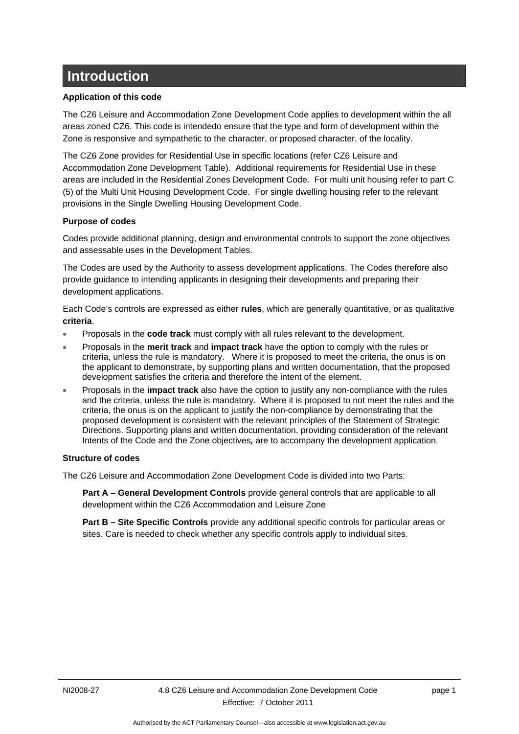# <span id="page-4-0"></span>**Introduction**

#### **Application of this code**

The CZ6 Leisure and Accommodation Zone Development Code applies to development within the all areas zoned CZ6. This code is intendedo ensure that the type and form of development within the Zone is responsive and sympathetic to the character, or proposed character, of the locality.

The CZ6 Zone provides for Residential Use in specific locations (refer CZ6 Leisure and Accommodation Zone Development Table). Additional requirements for Residential Use in these areas are included in the Residential Zones Development Code. For multi unit housing refer to part C (5) of the Multi Unit Housing Development Code. For single dwelling housing refer to the relevant provisions in the Single Dwelling Housing Development Code.

#### **Purpose of codes**

Codes provide additional planning, design and environmental controls to support the zone objectives and assessable uses in the Development Tables.

The Codes are used by the Authority to assess development applications. The Codes therefore also provide guidance to intending applicants in designing their developments and preparing their development applications.

Each Code's controls are expressed as either **rules**, which are generally quantitative, or as qualitative **criteria**.

- Proposals in the **code track** must comply with all rules relevant to the development.
- Proposals in the **merit track** and **impact track** have the option to comply with the rules or criteria, unless the rule is mandatory. Where it is proposed to meet the criteria, the onus is on the applicant to demonstrate, by supporting plans and written documentation, that the proposed development satisfies the criteria and therefore the intent of the element.
- Proposals in the **impact track** also have the option to justify any non-compliance with the rules and the criteria, unless the rule is mandatory. Where it is proposed to not meet the rules and the criteria, the onus is on the applicant to justify the non-compliance by demonstrating that the proposed development is consistent with the relevant principles of the Statement of Strategic Directions. Supporting plans and written documentation, providing consideration of the relevant Intents of the Code and the Zone objectives*,* are to accompany the development application.

#### **Structure of codes**

The CZ6 Leisure and Accommodation Zone Development Code is divided into two Parts:

**Part A – General Development Controls** provide general controls that are applicable to all development within the CZ6 Accommodation and Leisure Zone

**Part B – Site Specific Controls** provide any additional specific controls for particular areas or sites. Care is needed to check whether any specific controls apply to individual sites.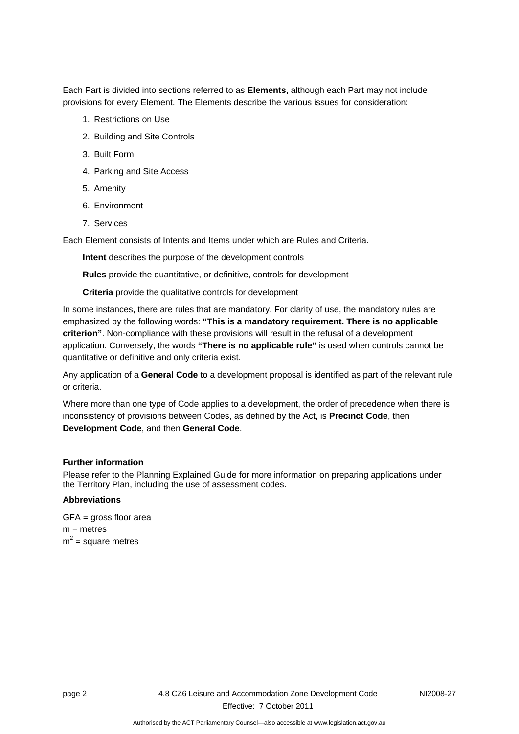Each Part is divided into sections referred to as **Elements,** although each Part may not include provisions for every Element. The Elements describe the various issues for consideration:

- 1. Restrictions on Use
- 2. Building and Site Controls
- 3. Built Form
- 4. Parking and Site Access
- 5. Amenity
- 6. Environment
- 7. Services

Each Element consists of Intents and Items under which are Rules and Criteria.

**Intent** describes the purpose of the development controls

**Rules** provide the quantitative, or definitive, controls for development

**Criteria** provide the qualitative controls for development

In some instances, there are rules that are mandatory. For clarity of use, the mandatory rules are emphasized by the following words: **"This is a mandatory requirement. There is no applicable criterion"**. Non-compliance with these provisions will result in the refusal of a development application. Conversely, the words **"There is no applicable rule"** is used when controls cannot be quantitative or definitive and only criteria exist.

Any application of a **General Code** to a development proposal is identified as part of the relevant rule or criteria.

Where more than one type of Code applies to a development, the order of precedence when there is inconsistency of provisions between Codes, as defined by the Act, is **Precinct Code**, then **Development Code**, and then **General Code**.

#### **Further information**

Please refer to the Planning Explained Guide for more information on preparing applications under the Territory Plan, including the use of assessment codes.

#### **Abbreviations**

GFA = gross floor area  $m =$  metres  $m^2$  = square metres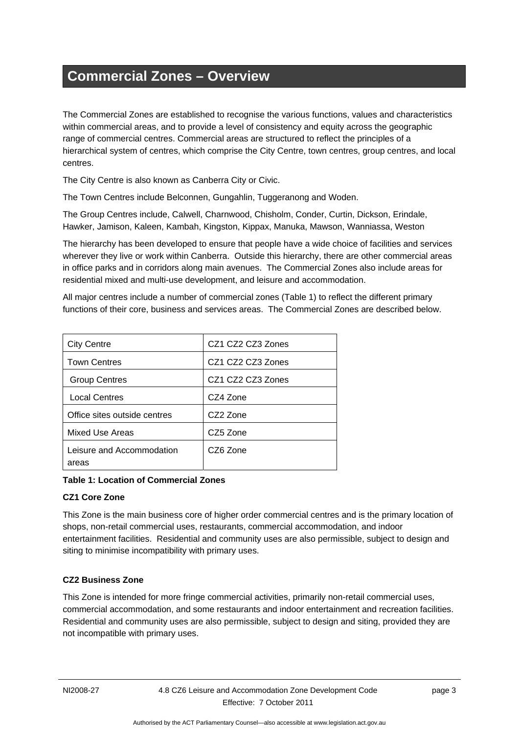# <span id="page-6-0"></span>**Commercial Zones – Overview**

The Commercial Zones are established to recognise the various functions, values and characteristics within commercial areas, and to provide a level of consistency and equity across the geographic range of commercial centres. Commercial areas are structured to reflect the principles of a hierarchical system of centres, which comprise the City Centre, town centres, group centres, and local centres.

The City Centre is also known as Canberra City or Civic.

The Town Centres include Belconnen, Gungahlin, Tuggeranong and Woden.

The Group Centres include, Calwell, Charnwood, Chisholm, Conder, Curtin, Dickson, Erindale, Hawker, Jamison, Kaleen, Kambah, Kingston, Kippax, Manuka, Mawson, Wanniassa, Weston

The hierarchy has been developed to ensure that people have a wide choice of facilities and services wherever they live or work within Canberra. Outside this hierarchy, there are other commercial areas in office parks and in corridors along main avenues. The Commercial Zones also include areas for residential mixed and multi-use development, and leisure and accommodation.

All major centres include a number of commercial zones (Table 1) to reflect the different primary functions of their core, business and services areas. The Commercial Zones are described below.

| <b>City Centre</b>                 | CZ1 CZ2 CZ3 Zones |
|------------------------------------|-------------------|
| <b>Town Centres</b>                | CZ1 CZ2 CZ3 Zones |
| <b>Group Centres</b>               | CZ1 CZ2 CZ3 Zones |
| <b>Local Centres</b>               | CZ4 Zone          |
| Office sites outside centres       | CZ2 Zone          |
| <b>Mixed Use Areas</b>             | CZ5 Zone          |
| Leisure and Accommodation<br>areas | CZ6 Zone          |

**Table 1: Location of Commercial Zones** 

## **CZ1 Core Zone**

This Zone is the main business core of higher order commercial centres and is the primary location of shops, non-retail commercial uses, restaurants, commercial accommodation, and indoor entertainment facilities. Residential and community uses are also permissible, subject to design and siting to minimise incompatibility with primary uses.

## **CZ2 Business Zone**

This Zone is intended for more fringe commercial activities, primarily non-retail commercial uses, commercial accommodation, and some restaurants and indoor entertainment and recreation facilities. Residential and community uses are also permissible, subject to design and siting, provided they are not incompatible with primary uses.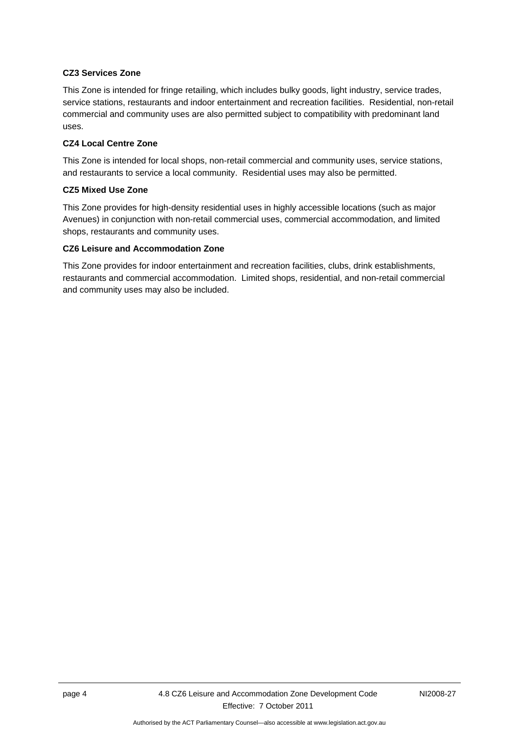#### **CZ3 Services Zone**

This Zone is intended for fringe retailing, which includes bulky goods, light industry, service trades, service stations, restaurants and indoor entertainment and recreation facilities. Residential, non-retail commercial and community uses are also permitted subject to compatibility with predominant land uses.

#### **CZ4 Local Centre Zone**

This Zone is intended for local shops, non-retail commercial and community uses, service stations, and restaurants to service a local community. Residential uses may also be permitted.

#### **CZ5 Mixed Use Zone**

This Zone provides for high-density residential uses in highly accessible locations (such as major Avenues) in conjunction with non-retail commercial uses, commercial accommodation, and limited shops, restaurants and community uses.

#### **CZ6 Leisure and Accommodation Zone**

This Zone provides for indoor entertainment and recreation facilities, clubs, drink establishments, restaurants and commercial accommodation. Limited shops, residential, and non-retail commercial and community uses may also be included.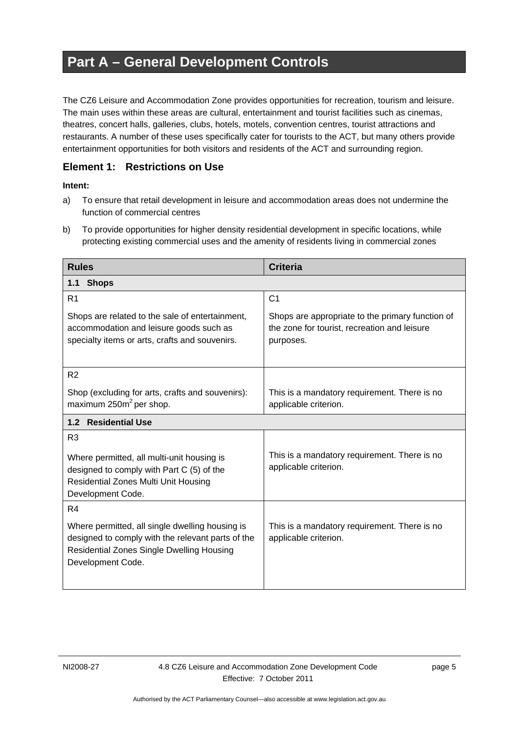# <span id="page-8-0"></span>**Part A – General Development Controls**

The CZ6 Leisure and Accommodation Zone provides opportunities for recreation, tourism and leisure. The main uses within these areas are cultural, entertainment and tourist facilities such as cinemas, theatres, concert halls, galleries, clubs, hotels, motels, convention centres, tourist attractions and restaurants. A number of these uses specifically cater for tourists to the ACT, but many others provide entertainment opportunities for both visitors and residents of the ACT and surrounding region.

# <span id="page-8-1"></span>**Element 1: Restrictions on Use**

- a) To ensure that retail development in leisure and accommodation areas does not undermine the function of commercial centres
- b) To provide opportunities for higher density residential development in specific locations, while protecting existing commercial uses and the amenity of residents living in commercial zones

<span id="page-8-3"></span><span id="page-8-2"></span>

| <b>Rules</b>                                                                                                                                                                  | <b>Criteria</b>                                                                                               |  |
|-------------------------------------------------------------------------------------------------------------------------------------------------------------------------------|---------------------------------------------------------------------------------------------------------------|--|
| <b>Shops</b><br>1.1                                                                                                                                                           |                                                                                                               |  |
| R <sub>1</sub>                                                                                                                                                                | C <sub>1</sub>                                                                                                |  |
| Shops are related to the sale of entertainment,<br>accommodation and leisure goods such as<br>specialty items or arts, crafts and souvenirs.                                  | Shops are appropriate to the primary function of<br>the zone for tourist, recreation and leisure<br>purposes. |  |
| R <sub>2</sub>                                                                                                                                                                |                                                                                                               |  |
| Shop (excluding for arts, crafts and souvenirs):<br>maximum $250m^2$ per shop.                                                                                                | This is a mandatory requirement. There is no<br>applicable criterion.                                         |  |
| 1.2 Residential Use                                                                                                                                                           |                                                                                                               |  |
| R <sub>3</sub><br>Where permitted, all multi-unit housing is<br>designed to comply with Part C (5) of the<br><b>Residential Zones Multi Unit Housing</b><br>Development Code. | This is a mandatory requirement. There is no<br>applicable criterion.                                         |  |
| R4                                                                                                                                                                            |                                                                                                               |  |
| Where permitted, all single dwelling housing is<br>designed to comply with the relevant parts of the<br><b>Residential Zones Single Dwelling Housing</b><br>Development Code. | This is a mandatory requirement. There is no<br>applicable criterion.                                         |  |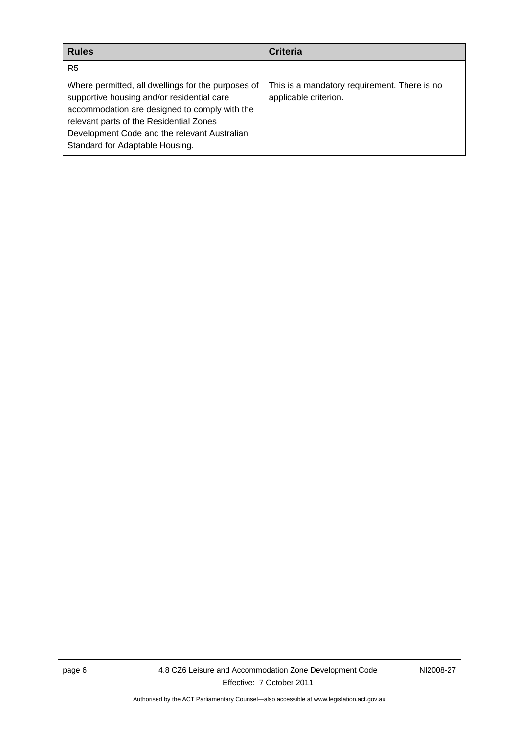| <b>Rules</b>                                                                                                                                                                                                                                                                    | <b>Criteria</b>                                                       |
|---------------------------------------------------------------------------------------------------------------------------------------------------------------------------------------------------------------------------------------------------------------------------------|-----------------------------------------------------------------------|
| R <sub>5</sub>                                                                                                                                                                                                                                                                  |                                                                       |
| Where permitted, all dwellings for the purposes of<br>supportive housing and/or residential care<br>accommodation are designed to comply with the<br>relevant parts of the Residential Zones<br>Development Code and the relevant Australian<br>Standard for Adaptable Housing. | This is a mandatory requirement. There is no<br>applicable criterion. |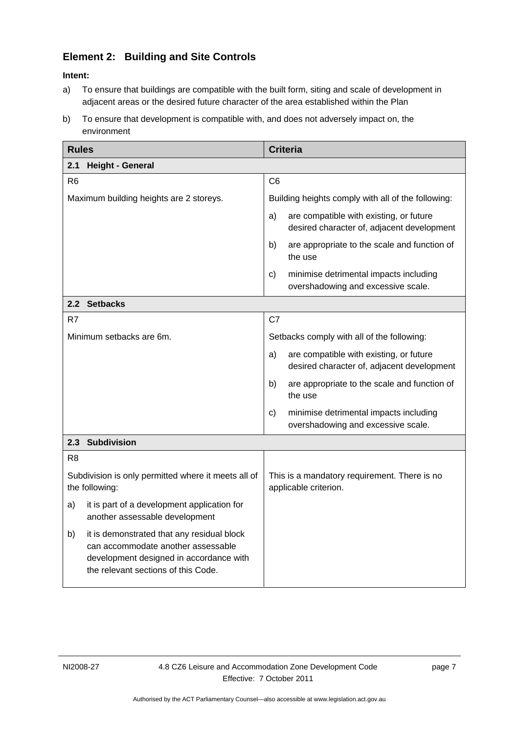# <span id="page-10-0"></span>**Element 2: Building and Site Controls**

- a) To ensure that buildings are compatible with the built form, siting and scale of development in adjacent areas or the desired future character of the area established within the Plan
- b) To ensure that development is compatible with, and does not adversely impact on, the environment

<span id="page-10-3"></span><span id="page-10-2"></span><span id="page-10-1"></span>

| <b>Rules</b>                                                                                                                                                             | <b>Criteria</b>                                                                              |
|--------------------------------------------------------------------------------------------------------------------------------------------------------------------------|----------------------------------------------------------------------------------------------|
| 2.1<br><b>Height - General</b>                                                                                                                                           |                                                                                              |
| R <sub>6</sub>                                                                                                                                                           | C <sub>6</sub>                                                                               |
| Maximum building heights are 2 storeys.                                                                                                                                  | Building heights comply with all of the following:                                           |
|                                                                                                                                                                          | are compatible with existing, or future<br>a)<br>desired character of, adjacent development  |
|                                                                                                                                                                          | b)<br>are appropriate to the scale and function of<br>the use                                |
|                                                                                                                                                                          | minimise detrimental impacts including<br>c)<br>overshadowing and excessive scale.           |
| 2.2 Setbacks                                                                                                                                                             |                                                                                              |
| R7                                                                                                                                                                       | C7                                                                                           |
| Minimum setbacks are 6m.                                                                                                                                                 | Setbacks comply with all of the following:                                                   |
|                                                                                                                                                                          | are compatible with existing, or future<br>a)<br>desired character of, adjacent development  |
|                                                                                                                                                                          | b)<br>are appropriate to the scale and function of<br>the use                                |
|                                                                                                                                                                          | minimise detrimental impacts including<br>$\mathsf{c}$<br>overshadowing and excessive scale. |
| 2.3 Subdivision                                                                                                                                                          |                                                                                              |
| R <sub>8</sub>                                                                                                                                                           |                                                                                              |
| Subdivision is only permitted where it meets all of<br>the following:                                                                                                    | This is a mandatory requirement. There is no<br>applicable criterion.                        |
| it is part of a development application for<br>a)<br>another assessable development                                                                                      |                                                                                              |
| it is demonstrated that any residual block<br>b)<br>can accommodate another assessable<br>development designed in accordance with<br>the relevant sections of this Code. |                                                                                              |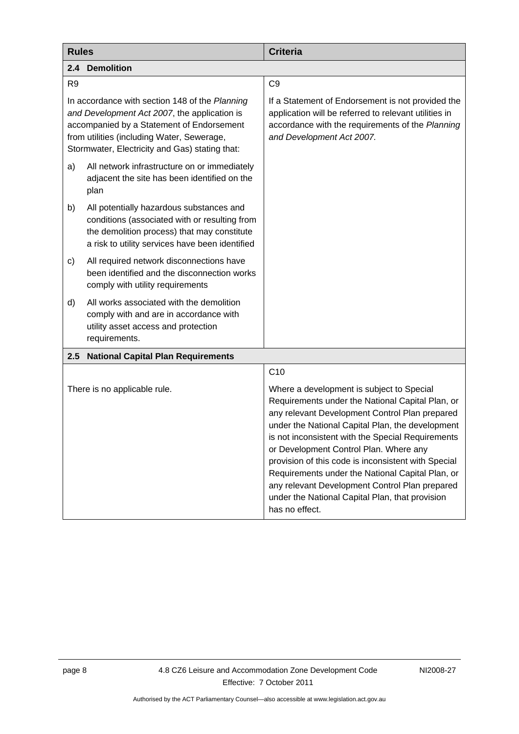<span id="page-11-1"></span><span id="page-11-0"></span>

| <b>Rules</b>                                                                                                                                                                                                                                |                                                                                                                                                                                             | <b>Criteria</b>                                                                                                                                                                                                                                                                                                                                                                                                                                                                                                                      |
|---------------------------------------------------------------------------------------------------------------------------------------------------------------------------------------------------------------------------------------------|---------------------------------------------------------------------------------------------------------------------------------------------------------------------------------------------|--------------------------------------------------------------------------------------------------------------------------------------------------------------------------------------------------------------------------------------------------------------------------------------------------------------------------------------------------------------------------------------------------------------------------------------------------------------------------------------------------------------------------------------|
| 2.4                                                                                                                                                                                                                                         | <b>Demolition</b>                                                                                                                                                                           |                                                                                                                                                                                                                                                                                                                                                                                                                                                                                                                                      |
| R <sub>9</sub>                                                                                                                                                                                                                              |                                                                                                                                                                                             | C <sub>9</sub>                                                                                                                                                                                                                                                                                                                                                                                                                                                                                                                       |
| In accordance with section 148 of the Planning<br>and Development Act 2007, the application is<br>accompanied by a Statement of Endorsement<br>from utilities (including Water, Sewerage,<br>Stormwater, Electricity and Gas) stating that: |                                                                                                                                                                                             | If a Statement of Endorsement is not provided the<br>application will be referred to relevant utilities in<br>accordance with the requirements of the Planning<br>and Development Act 2007.                                                                                                                                                                                                                                                                                                                                          |
| a)                                                                                                                                                                                                                                          | All network infrastructure on or immediately<br>adjacent the site has been identified on the<br>plan                                                                                        |                                                                                                                                                                                                                                                                                                                                                                                                                                                                                                                                      |
| b)                                                                                                                                                                                                                                          | All potentially hazardous substances and<br>conditions (associated with or resulting from<br>the demolition process) that may constitute<br>a risk to utility services have been identified |                                                                                                                                                                                                                                                                                                                                                                                                                                                                                                                                      |
| c)                                                                                                                                                                                                                                          | All required network disconnections have<br>been identified and the disconnection works<br>comply with utility requirements                                                                 |                                                                                                                                                                                                                                                                                                                                                                                                                                                                                                                                      |
| d)                                                                                                                                                                                                                                          | All works associated with the demolition<br>comply with and are in accordance with<br>utility asset access and protection<br>requirements.                                                  |                                                                                                                                                                                                                                                                                                                                                                                                                                                                                                                                      |
| 2.5                                                                                                                                                                                                                                         | <b>National Capital Plan Requirements</b>                                                                                                                                                   |                                                                                                                                                                                                                                                                                                                                                                                                                                                                                                                                      |
|                                                                                                                                                                                                                                             |                                                                                                                                                                                             | C10                                                                                                                                                                                                                                                                                                                                                                                                                                                                                                                                  |
| There is no applicable rule.                                                                                                                                                                                                                |                                                                                                                                                                                             | Where a development is subject to Special<br>Requirements under the National Capital Plan, or<br>any relevant Development Control Plan prepared<br>under the National Capital Plan, the development<br>is not inconsistent with the Special Requirements<br>or Development Control Plan. Where any<br>provision of this code is inconsistent with Special<br>Requirements under the National Capital Plan, or<br>any relevant Development Control Plan prepared<br>under the National Capital Plan, that provision<br>has no effect. |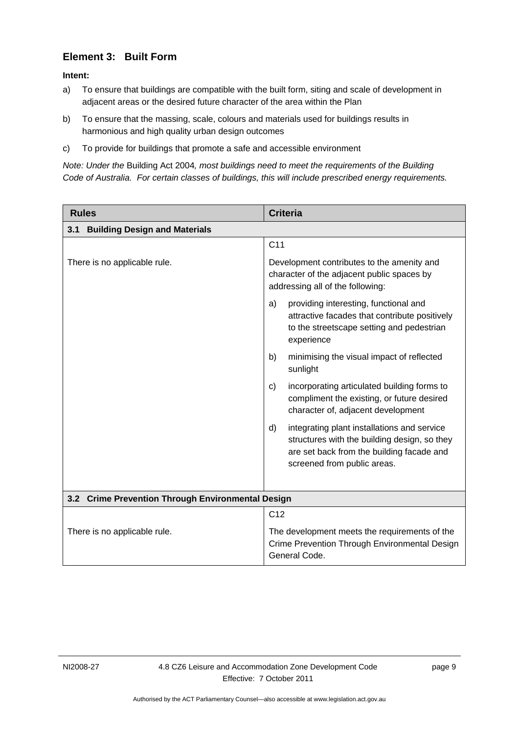# **Element 3: Built Form**

**Intent:** 

- a) To ensure that buildings are compatible with the built form, siting and scale of development in adjacent areas or the desired future character of the area within the Plan
- b) To ensure that the massing, scale, colours and materials used for buildings results in harmonious and high quality urban design outcomes
- c) To provide for buildings that promote a safe and accessible environment

*Note: Under the* Building Act 2004*, most buildings need to meet the requirements of the Building Code of Australia. For certain classes of buildings, this will include prescribed energy requirements.* 

| <b>Rules</b>                                      | <b>Criteria</b>                                                                                                                                                               |  |
|---------------------------------------------------|-------------------------------------------------------------------------------------------------------------------------------------------------------------------------------|--|
| <b>Building Design and Materials</b><br>3.1       |                                                                                                                                                                               |  |
|                                                   | C <sub>11</sub>                                                                                                                                                               |  |
| There is no applicable rule.                      | Development contributes to the amenity and<br>character of the adjacent public spaces by<br>addressing all of the following:                                                  |  |
|                                                   | providing interesting, functional and<br>a)<br>attractive facades that contribute positively<br>to the streetscape setting and pedestrian<br>experience                       |  |
|                                                   | minimising the visual impact of reflected<br>b)<br>sunlight                                                                                                                   |  |
|                                                   | incorporating articulated building forms to<br>C)<br>compliment the existing, or future desired<br>character of, adjacent development                                         |  |
|                                                   | integrating plant installations and service<br>d)<br>structures with the building design, so they<br>are set back from the building facade and<br>screened from public areas. |  |
| 3.2 Crime Prevention Through Environmental Design |                                                                                                                                                                               |  |
|                                                   | C <sub>12</sub>                                                                                                                                                               |  |
| There is no applicable rule.                      | The development meets the requirements of the<br>Crime Prevention Through Environmental Design<br>General Code.                                                               |  |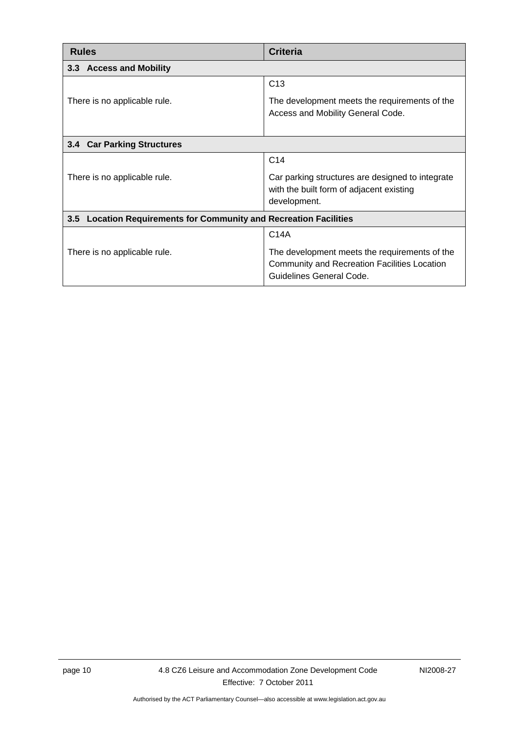<span id="page-13-2"></span><span id="page-13-1"></span><span id="page-13-0"></span>

| <b>Rules</b>                                                                | <b>Criteria</b>                                                                                                                  |  |
|-----------------------------------------------------------------------------|----------------------------------------------------------------------------------------------------------------------------------|--|
| 3.3 Access and Mobility                                                     |                                                                                                                                  |  |
|                                                                             | C <sub>13</sub>                                                                                                                  |  |
| There is no applicable rule.                                                | The development meets the requirements of the<br>Access and Mobility General Code.                                               |  |
| 3.4 Car Parking Structures                                                  |                                                                                                                                  |  |
|                                                                             | C <sub>14</sub>                                                                                                                  |  |
| There is no applicable rule.                                                | Car parking structures are designed to integrate<br>with the built form of adjacent existing<br>development.                     |  |
| <b>Location Requirements for Community and Recreation Facilities</b><br>3.5 |                                                                                                                                  |  |
|                                                                             | C <sub>14A</sub>                                                                                                                 |  |
| There is no applicable rule.                                                | The development meets the requirements of the<br><b>Community and Recreation Facilities Location</b><br>Guidelines General Code. |  |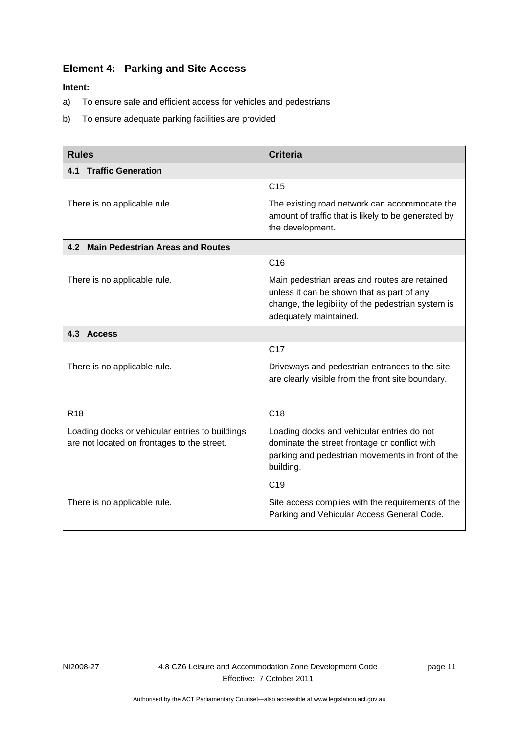# <span id="page-14-0"></span>**Element 4: Parking and Site Access**

- a) To ensure safe and efficient access for vehicles and pedestrians
- b) To ensure adequate parking facilities are provided

<span id="page-14-2"></span><span id="page-14-1"></span>

| <b>Rules</b>                                                                                   | <b>Criteria</b>                                                                                                                                                             |  |
|------------------------------------------------------------------------------------------------|-----------------------------------------------------------------------------------------------------------------------------------------------------------------------------|--|
| <b>Traffic Generation</b><br>4.1                                                               |                                                                                                                                                                             |  |
|                                                                                                | C <sub>15</sub>                                                                                                                                                             |  |
| There is no applicable rule.                                                                   | The existing road network can accommodate the<br>amount of traffic that is likely to be generated by<br>the development.                                                    |  |
| 4.2 Main Pedestrian Areas and Routes                                                           |                                                                                                                                                                             |  |
|                                                                                                | C16                                                                                                                                                                         |  |
| There is no applicable rule.                                                                   | Main pedestrian areas and routes are retained<br>unless it can be shown that as part of any<br>change, the legibility of the pedestrian system is<br>adequately maintained. |  |
| 4.3 Access                                                                                     |                                                                                                                                                                             |  |
|                                                                                                | C <sub>17</sub>                                                                                                                                                             |  |
| There is no applicable rule.                                                                   | Driveways and pedestrian entrances to the site<br>are clearly visible from the front site boundary.                                                                         |  |
| R <sub>18</sub>                                                                                | C <sub>18</sub>                                                                                                                                                             |  |
| Loading docks or vehicular entries to buildings<br>are not located on frontages to the street. | Loading docks and vehicular entries do not<br>dominate the street frontage or conflict with<br>parking and pedestrian movements in front of the<br>building.                |  |
|                                                                                                | C <sub>19</sub>                                                                                                                                                             |  |
| There is no applicable rule.                                                                   | Site access complies with the requirements of the<br>Parking and Vehicular Access General Code.                                                                             |  |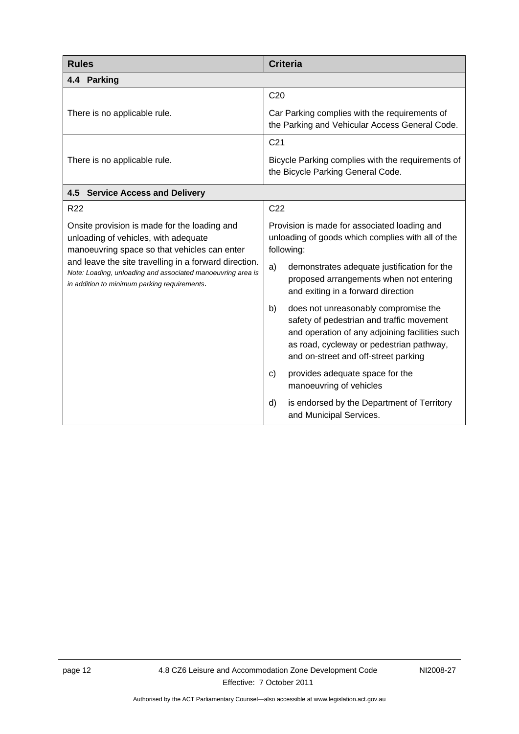<span id="page-15-3"></span><span id="page-15-2"></span><span id="page-15-1"></span><span id="page-15-0"></span>

| <b>Rules</b>                                                                                                                                                         | <b>Criteria</b>                                                                                                                                                                                                               |
|----------------------------------------------------------------------------------------------------------------------------------------------------------------------|-------------------------------------------------------------------------------------------------------------------------------------------------------------------------------------------------------------------------------|
| 4.4 Parking                                                                                                                                                          |                                                                                                                                                                                                                               |
|                                                                                                                                                                      | C <sub>20</sub>                                                                                                                                                                                                               |
| There is no applicable rule.                                                                                                                                         | Car Parking complies with the requirements of<br>the Parking and Vehicular Access General Code.                                                                                                                               |
|                                                                                                                                                                      | C <sub>21</sub>                                                                                                                                                                                                               |
| There is no applicable rule.                                                                                                                                         | Bicycle Parking complies with the requirements of<br>the Bicycle Parking General Code.                                                                                                                                        |
| 4.5 Service Access and Delivery                                                                                                                                      |                                                                                                                                                                                                                               |
| R <sub>22</sub>                                                                                                                                                      | C <sub>22</sub>                                                                                                                                                                                                               |
| Onsite provision is made for the loading and<br>unloading of vehicles, with adequate<br>manoeuvring space so that vehicles can enter                                 | Provision is made for associated loading and<br>unloading of goods which complies with all of the<br>following:                                                                                                               |
| and leave the site travelling in a forward direction.<br>Note: Loading, unloading and associated manoeuvring area is<br>in addition to minimum parking requirements. | a)<br>demonstrates adequate justification for the<br>proposed arrangements when not entering<br>and exiting in a forward direction                                                                                            |
|                                                                                                                                                                      | b)<br>does not unreasonably compromise the<br>safety of pedestrian and traffic movement<br>and operation of any adjoining facilities such<br>as road, cycleway or pedestrian pathway,<br>and on-street and off-street parking |
|                                                                                                                                                                      | provides adequate space for the<br>C)<br>manoeuvring of vehicles                                                                                                                                                              |
|                                                                                                                                                                      | d)<br>is endorsed by the Department of Territory<br>and Municipal Services.                                                                                                                                                   |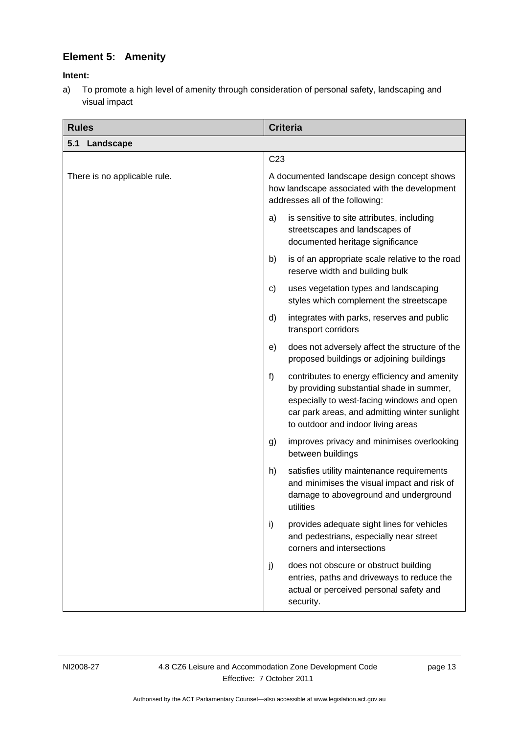# **Element 5: Amenity**

## <span id="page-16-0"></span>**Intent:**

a) To promote a high level of amenity through consideration of personal safety, landscaping and visual impact

<span id="page-16-1"></span>

| <b>Rules</b>                 | <b>Criteria</b>                                                                                                                                                                                                                      |
|------------------------------|--------------------------------------------------------------------------------------------------------------------------------------------------------------------------------------------------------------------------------------|
| 5.1<br>Landscape             |                                                                                                                                                                                                                                      |
|                              | C <sub>23</sub>                                                                                                                                                                                                                      |
| There is no applicable rule. | A documented landscape design concept shows<br>how landscape associated with the development<br>addresses all of the following:                                                                                                      |
|                              | is sensitive to site attributes, including<br>a)<br>streetscapes and landscapes of<br>documented heritage significance                                                                                                               |
|                              | is of an appropriate scale relative to the road<br>b)<br>reserve width and building bulk                                                                                                                                             |
|                              | uses vegetation types and landscaping<br>C)<br>styles which complement the streetscape                                                                                                                                               |
|                              | integrates with parks, reserves and public<br>d)<br>transport corridors                                                                                                                                                              |
|                              | does not adversely affect the structure of the<br>e)<br>proposed buildings or adjoining buildings                                                                                                                                    |
|                              | f)<br>contributes to energy efficiency and amenity<br>by providing substantial shade in summer,<br>especially to west-facing windows and open<br>car park areas, and admitting winter sunlight<br>to outdoor and indoor living areas |
|                              | improves privacy and minimises overlooking<br>g)<br>between buildings                                                                                                                                                                |
|                              | h)<br>satisfies utility maintenance requirements<br>and minimises the visual impact and risk of<br>damage to aboveground and underground<br>utilities                                                                                |
|                              | i)<br>provides adequate sight lines for vehicles<br>and pedestrians, especially near street<br>corners and intersections                                                                                                             |
|                              | does not obscure or obstruct building<br>j)<br>entries, paths and driveways to reduce the<br>actual or perceived personal safety and<br>security.                                                                                    |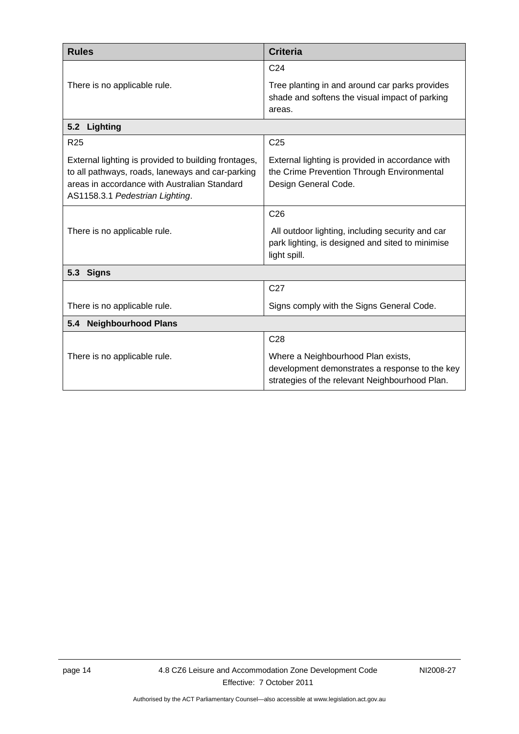<span id="page-17-1"></span><span id="page-17-0"></span>

| <b>Rules</b>                                                                                                                                                                                | <b>Criteria</b>                                                                                                                        |  |
|---------------------------------------------------------------------------------------------------------------------------------------------------------------------------------------------|----------------------------------------------------------------------------------------------------------------------------------------|--|
|                                                                                                                                                                                             | C <sub>24</sub>                                                                                                                        |  |
| There is no applicable rule.                                                                                                                                                                | Tree planting in and around car parks provides<br>shade and softens the visual impact of parking<br>areas.                             |  |
| 5.2<br>Lighting                                                                                                                                                                             |                                                                                                                                        |  |
| R <sub>25</sub>                                                                                                                                                                             | C <sub>25</sub>                                                                                                                        |  |
| External lighting is provided to building frontages,<br>to all pathways, roads, laneways and car-parking<br>areas in accordance with Australian Standard<br>AS1158.3.1 Pedestrian Lighting. | External lighting is provided in accordance with<br>the Crime Prevention Through Environmental<br>Design General Code.                 |  |
|                                                                                                                                                                                             | C <sub>26</sub>                                                                                                                        |  |
| There is no applicable rule.                                                                                                                                                                | All outdoor lighting, including security and car<br>park lighting, is designed and sited to minimise<br>light spill.                   |  |
| 5.3<br><b>Signs</b>                                                                                                                                                                         |                                                                                                                                        |  |
|                                                                                                                                                                                             | C <sub>27</sub>                                                                                                                        |  |
| There is no applicable rule.                                                                                                                                                                | Signs comply with the Signs General Code.                                                                                              |  |
| <b>Neighbourhood Plans</b><br>5.4                                                                                                                                                           |                                                                                                                                        |  |
|                                                                                                                                                                                             | C <sub>28</sub>                                                                                                                        |  |
| There is no applicable rule.                                                                                                                                                                | Where a Neighbourhood Plan exists,<br>development demonstrates a response to the key<br>strategies of the relevant Neighbourhood Plan. |  |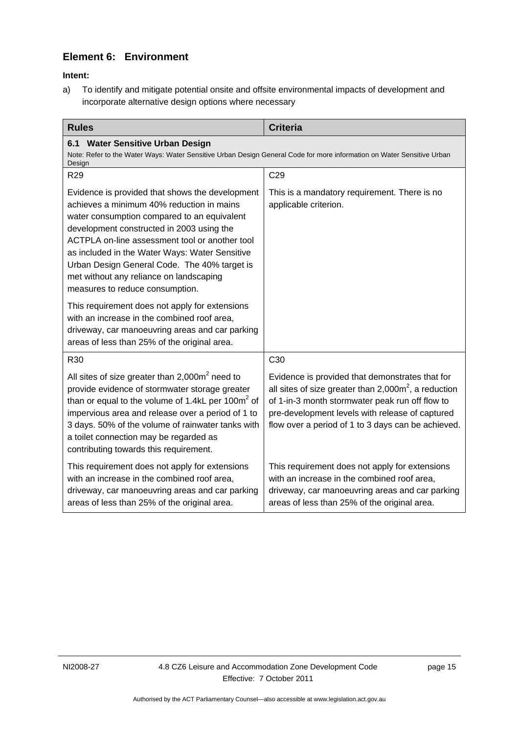# **Element 6: Environment**

**Intent:** 

a) To identify and mitigate potential onsite and offsite environmental impacts of development and incorporate alternative design options where necessary

<span id="page-18-2"></span><span id="page-18-1"></span><span id="page-18-0"></span>

| <b>Rules</b>                                                                                                                                                                                                                                                                                                                                                                                                               | <b>Criteria</b>                                                                                                                                                                                                                                                               |
|----------------------------------------------------------------------------------------------------------------------------------------------------------------------------------------------------------------------------------------------------------------------------------------------------------------------------------------------------------------------------------------------------------------------------|-------------------------------------------------------------------------------------------------------------------------------------------------------------------------------------------------------------------------------------------------------------------------------|
| <b>Water Sensitive Urban Design</b><br>6.1<br>Note: Refer to the Water Ways: Water Sensitive Urban Design General Code for more information on Water Sensitive Urban<br>Design                                                                                                                                                                                                                                             |                                                                                                                                                                                                                                                                               |
| R <sub>29</sub>                                                                                                                                                                                                                                                                                                                                                                                                            | C <sub>29</sub>                                                                                                                                                                                                                                                               |
| Evidence is provided that shows the development<br>achieves a minimum 40% reduction in mains<br>water consumption compared to an equivalent<br>development constructed in 2003 using the<br>ACTPLA on-line assessment tool or another tool<br>as included in the Water Ways: Water Sensitive<br>Urban Design General Code. The 40% target is<br>met without any reliance on landscaping<br>measures to reduce consumption. | This is a mandatory requirement. There is no<br>applicable criterion.                                                                                                                                                                                                         |
| This requirement does not apply for extensions<br>with an increase in the combined roof area,<br>driveway, car manoeuvring areas and car parking<br>areas of less than 25% of the original area.                                                                                                                                                                                                                           |                                                                                                                                                                                                                                                                               |
| R30                                                                                                                                                                                                                                                                                                                                                                                                                        | C <sub>30</sub>                                                                                                                                                                                                                                                               |
| All sites of size greater than $2,000m^2$ need to<br>provide evidence of stormwater storage greater<br>than or equal to the volume of 1.4kL per 100m <sup>2</sup> of<br>impervious area and release over a period of 1 to<br>3 days. 50% of the volume of rainwater tanks with<br>a toilet connection may be regarded as<br>contributing towards this requirement.                                                         | Evidence is provided that demonstrates that for<br>all sites of size greater than $2,000\text{m}^2$ , a reduction<br>of 1-in-3 month stormwater peak run off flow to<br>pre-development levels with release of captured<br>flow over a period of 1 to 3 days can be achieved. |
| This requirement does not apply for extensions<br>with an increase in the combined roof area,<br>driveway, car manoeuvring areas and car parking<br>areas of less than 25% of the original area.                                                                                                                                                                                                                           | This requirement does not apply for extensions<br>with an increase in the combined roof area,<br>driveway, car manoeuvring areas and car parking<br>areas of less than 25% of the original area.                                                                              |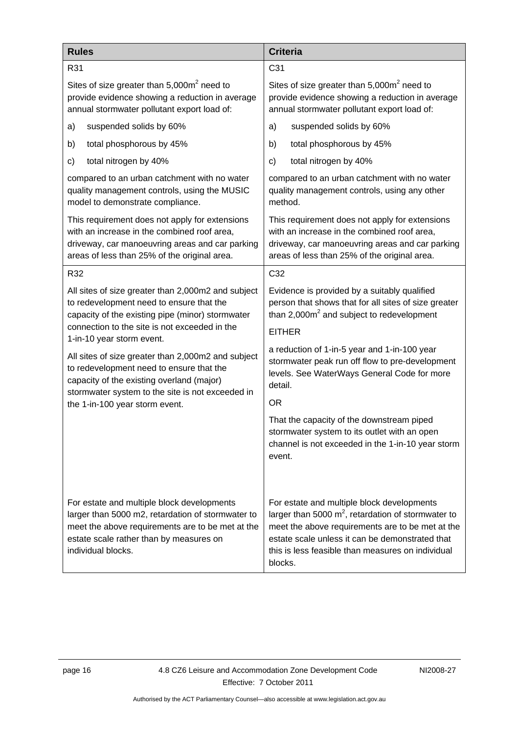<span id="page-19-1"></span><span id="page-19-0"></span>

| <b>Rules</b>                                                                                                                                                                                                         | <b>Criteria</b>                                                                                                                                                                                                                                                            |
|----------------------------------------------------------------------------------------------------------------------------------------------------------------------------------------------------------------------|----------------------------------------------------------------------------------------------------------------------------------------------------------------------------------------------------------------------------------------------------------------------------|
| R31                                                                                                                                                                                                                  | C <sub>31</sub>                                                                                                                                                                                                                                                            |
| Sites of size greater than $5,000m^2$ need to                                                                                                                                                                        | Sites of size greater than 5,000m <sup>2</sup> need to                                                                                                                                                                                                                     |
| provide evidence showing a reduction in average                                                                                                                                                                      | provide evidence showing a reduction in average                                                                                                                                                                                                                            |
| annual stormwater pollutant export load of:                                                                                                                                                                          | annual stormwater pollutant export load of:                                                                                                                                                                                                                                |
| suspended solids by 60%                                                                                                                                                                                              | suspended solids by 60%                                                                                                                                                                                                                                                    |
| a)                                                                                                                                                                                                                   | a)                                                                                                                                                                                                                                                                         |
| total phosphorous by 45%                                                                                                                                                                                             | total phosphorous by 45%                                                                                                                                                                                                                                                   |
| b)                                                                                                                                                                                                                   | b)                                                                                                                                                                                                                                                                         |
| total nitrogen by 40%                                                                                                                                                                                                | total nitrogen by 40%                                                                                                                                                                                                                                                      |
| c)                                                                                                                                                                                                                   | C)                                                                                                                                                                                                                                                                         |
| compared to an urban catchment with no water                                                                                                                                                                         | compared to an urban catchment with no water                                                                                                                                                                                                                               |
| quality management controls, using the MUSIC                                                                                                                                                                         | quality management controls, using any other                                                                                                                                                                                                                               |
| model to demonstrate compliance.                                                                                                                                                                                     | method.                                                                                                                                                                                                                                                                    |
| This requirement does not apply for extensions                                                                                                                                                                       | This requirement does not apply for extensions                                                                                                                                                                                                                             |
| with an increase in the combined roof area,                                                                                                                                                                          | with an increase in the combined roof area,                                                                                                                                                                                                                                |
| driveway, car manoeuvring areas and car parking                                                                                                                                                                      | driveway, car manoeuvring areas and car parking                                                                                                                                                                                                                            |
| areas of less than 25% of the original area.                                                                                                                                                                         | areas of less than 25% of the original area.                                                                                                                                                                                                                               |
| R32                                                                                                                                                                                                                  | C32                                                                                                                                                                                                                                                                        |
| All sites of size greater than 2,000m2 and subject                                                                                                                                                                   | Evidence is provided by a suitably qualified                                                                                                                                                                                                                               |
| to redevelopment need to ensure that the                                                                                                                                                                             | person that shows that for all sites of size greater                                                                                                                                                                                                                       |
| capacity of the existing pipe (minor) stormwater                                                                                                                                                                     | than 2,000m <sup>2</sup> and subject to redevelopment                                                                                                                                                                                                                      |
| connection to the site is not exceeded in the<br>1-in-10 year storm event.                                                                                                                                           | <b>EITHER</b>                                                                                                                                                                                                                                                              |
| All sites of size greater than 2,000m2 and subject                                                                                                                                                                   | a reduction of 1-in-5 year and 1-in-100 year                                                                                                                                                                                                                               |
| to redevelopment need to ensure that the                                                                                                                                                                             | stormwater peak run off flow to pre-development                                                                                                                                                                                                                            |
| capacity of the existing overland (major)                                                                                                                                                                            | levels. See WaterWays General Code for more                                                                                                                                                                                                                                |
| stormwater system to the site is not exceeded in                                                                                                                                                                     | detail.                                                                                                                                                                                                                                                                    |
| the 1-in-100 year storm event.                                                                                                                                                                                       | <b>OR</b>                                                                                                                                                                                                                                                                  |
|                                                                                                                                                                                                                      | That the capacity of the downstream piped<br>stormwater system to its outlet with an open<br>channel is not exceeded in the 1-in-10 year storm<br>event.                                                                                                                   |
| For estate and multiple block developments<br>larger than 5000 m2, retardation of stormwater to<br>meet the above requirements are to be met at the<br>estate scale rather than by measures on<br>individual blocks. | For estate and multiple block developments<br>larger than 5000 $m^2$ , retardation of stormwater to<br>meet the above requirements are to be met at the<br>estate scale unless it can be demonstrated that<br>this is less feasible than measures on individual<br>blocks. |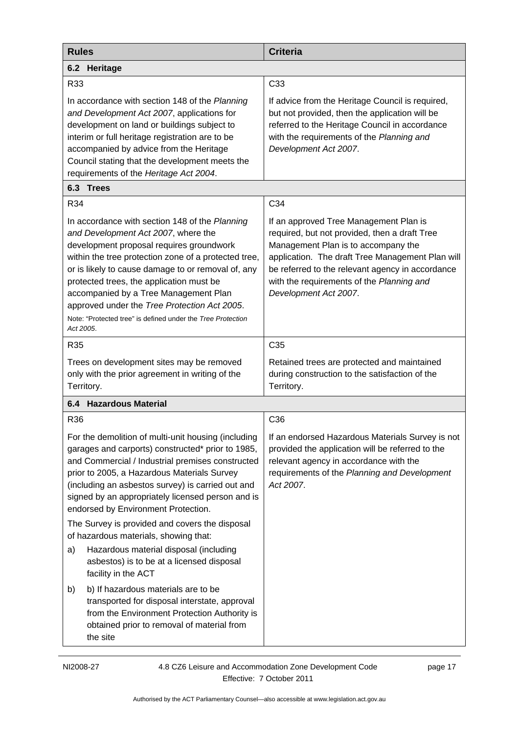| <b>Rules</b>                                                                                                                                                                                                                                                                                                                                                                                                                                                                                                                                                                                                                                                                                                                                                            | <b>Criteria</b>                                                                                                                                                                                                                                                                                              |
|-------------------------------------------------------------------------------------------------------------------------------------------------------------------------------------------------------------------------------------------------------------------------------------------------------------------------------------------------------------------------------------------------------------------------------------------------------------------------------------------------------------------------------------------------------------------------------------------------------------------------------------------------------------------------------------------------------------------------------------------------------------------------|--------------------------------------------------------------------------------------------------------------------------------------------------------------------------------------------------------------------------------------------------------------------------------------------------------------|
| 6.2 Heritage                                                                                                                                                                                                                                                                                                                                                                                                                                                                                                                                                                                                                                                                                                                                                            |                                                                                                                                                                                                                                                                                                              |
| R33                                                                                                                                                                                                                                                                                                                                                                                                                                                                                                                                                                                                                                                                                                                                                                     | C <sub>33</sub>                                                                                                                                                                                                                                                                                              |
| In accordance with section 148 of the Planning<br>and Development Act 2007, applications for<br>development on land or buildings subject to<br>interim or full heritage registration are to be<br>accompanied by advice from the Heritage<br>Council stating that the development meets the<br>requirements of the Heritage Act 2004.                                                                                                                                                                                                                                                                                                                                                                                                                                   | If advice from the Heritage Council is required,<br>but not provided, then the application will be<br>referred to the Heritage Council in accordance<br>with the requirements of the Planning and<br>Development Act 2007.                                                                                   |
| 6.3 Trees                                                                                                                                                                                                                                                                                                                                                                                                                                                                                                                                                                                                                                                                                                                                                               |                                                                                                                                                                                                                                                                                                              |
| R34                                                                                                                                                                                                                                                                                                                                                                                                                                                                                                                                                                                                                                                                                                                                                                     | C34                                                                                                                                                                                                                                                                                                          |
| In accordance with section 148 of the Planning<br>and Development Act 2007, where the<br>development proposal requires groundwork<br>within the tree protection zone of a protected tree,<br>or is likely to cause damage to or removal of, any<br>protected trees, the application must be<br>accompanied by a Tree Management Plan<br>approved under the Tree Protection Act 2005.<br>Note: "Protected tree" is defined under the Tree Protection<br>Act 2005.                                                                                                                                                                                                                                                                                                        | If an approved Tree Management Plan is<br>required, but not provided, then a draft Tree<br>Management Plan is to accompany the<br>application. The draft Tree Management Plan will<br>be referred to the relevant agency in accordance<br>with the requirements of the Planning and<br>Development Act 2007. |
| R35                                                                                                                                                                                                                                                                                                                                                                                                                                                                                                                                                                                                                                                                                                                                                                     | C <sub>35</sub>                                                                                                                                                                                                                                                                                              |
| Trees on development sites may be removed<br>only with the prior agreement in writing of the<br>Territory.                                                                                                                                                                                                                                                                                                                                                                                                                                                                                                                                                                                                                                                              | Retained trees are protected and maintained<br>during construction to the satisfaction of the<br>Territory.                                                                                                                                                                                                  |
| 6.4 Hazardous Material                                                                                                                                                                                                                                                                                                                                                                                                                                                                                                                                                                                                                                                                                                                                                  |                                                                                                                                                                                                                                                                                                              |
| R <sub>36</sub>                                                                                                                                                                                                                                                                                                                                                                                                                                                                                                                                                                                                                                                                                                                                                         | C <sub>36</sub>                                                                                                                                                                                                                                                                                              |
| For the demolition of multi-unit housing (including<br>garages and carports) constructed* prior to 1985,<br>and Commercial / Industrial premises constructed<br>prior to 2005, a Hazardous Materials Survey<br>(including an asbestos survey) is carried out and<br>signed by an appropriately licensed person and is<br>endorsed by Environment Protection.<br>The Survey is provided and covers the disposal<br>of hazardous materials, showing that:<br>Hazardous material disposal (including<br>a)<br>asbestos) is to be at a licensed disposal<br>facility in the ACT<br>b) If hazardous materials are to be<br>b)<br>transported for disposal interstate, approval<br>from the Environment Protection Authority is<br>obtained prior to removal of material from | If an endorsed Hazardous Materials Survey is not<br>provided the application will be referred to the<br>relevant agency in accordance with the<br>requirements of the Planning and Development<br>Act 2007.                                                                                                  |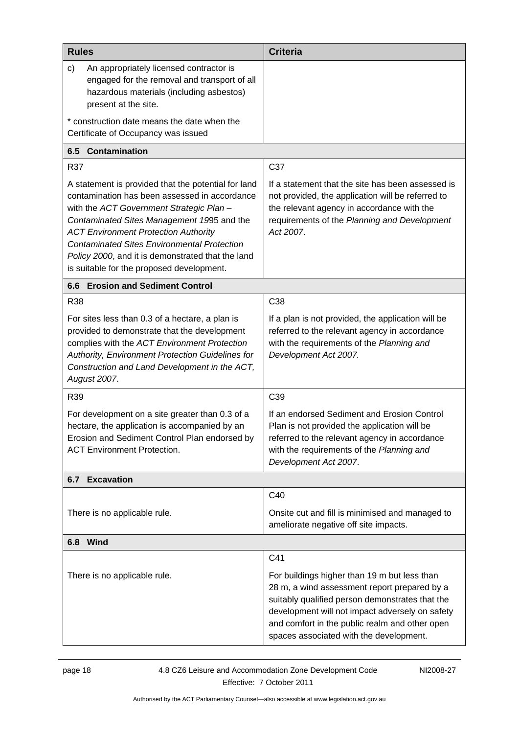<span id="page-21-2"></span><span id="page-21-1"></span><span id="page-21-0"></span>

| <b>Rules</b>                                                                                                                                                                                                                                                                                                                                                                                          | <b>Criteria</b>                                                                                                                                                                                                                                                                                        |  |
|-------------------------------------------------------------------------------------------------------------------------------------------------------------------------------------------------------------------------------------------------------------------------------------------------------------------------------------------------------------------------------------------------------|--------------------------------------------------------------------------------------------------------------------------------------------------------------------------------------------------------------------------------------------------------------------------------------------------------|--|
| c)<br>An appropriately licensed contractor is<br>engaged for the removal and transport of all<br>hazardous materials (including asbestos)<br>present at the site.                                                                                                                                                                                                                                     |                                                                                                                                                                                                                                                                                                        |  |
| * construction date means the date when the<br>Certificate of Occupancy was issued                                                                                                                                                                                                                                                                                                                    |                                                                                                                                                                                                                                                                                                        |  |
| 6.5 Contamination                                                                                                                                                                                                                                                                                                                                                                                     |                                                                                                                                                                                                                                                                                                        |  |
| R37                                                                                                                                                                                                                                                                                                                                                                                                   | C37                                                                                                                                                                                                                                                                                                    |  |
| A statement is provided that the potential for land<br>contamination has been assessed in accordance<br>with the ACT Government Strategic Plan -<br>Contaminated Sites Management 1995 and the<br><b>ACT Environment Protection Authority</b><br><b>Contaminated Sites Environmental Protection</b><br>Policy 2000, and it is demonstrated that the land<br>is suitable for the proposed development. | If a statement that the site has been assessed is<br>not provided, the application will be referred to<br>the relevant agency in accordance with the<br>requirements of the Planning and Development<br>Act 2007.                                                                                      |  |
| 6.6 Erosion and Sediment Control                                                                                                                                                                                                                                                                                                                                                                      |                                                                                                                                                                                                                                                                                                        |  |
| <b>R38</b>                                                                                                                                                                                                                                                                                                                                                                                            | C38                                                                                                                                                                                                                                                                                                    |  |
| For sites less than 0.3 of a hectare, a plan is<br>provided to demonstrate that the development<br>complies with the ACT Environment Protection<br>Authority, Environment Protection Guidelines for<br>Construction and Land Development in the ACT,<br>August 2007.                                                                                                                                  | If a plan is not provided, the application will be<br>referred to the relevant agency in accordance<br>with the requirements of the Planning and<br>Development Act 2007.                                                                                                                              |  |
| R39                                                                                                                                                                                                                                                                                                                                                                                                   | C <sub>39</sub>                                                                                                                                                                                                                                                                                        |  |
| For development on a site greater than 0.3 of a<br>hectare, the application is accompanied by an<br>Erosion and Sediment Control Plan endorsed by<br><b>ACT Environment Protection.</b>                                                                                                                                                                                                               | If an endorsed Sediment and Erosion Control<br>Plan is not provided the application will be<br>referred to the relevant agency in accordance<br>with the requirements of the Planning and<br>Development Act 2007.                                                                                     |  |
| <b>6.7 Excavation</b>                                                                                                                                                                                                                                                                                                                                                                                 |                                                                                                                                                                                                                                                                                                        |  |
| There is no applicable rule.                                                                                                                                                                                                                                                                                                                                                                          | C40<br>Onsite cut and fill is minimised and managed to                                                                                                                                                                                                                                                 |  |
|                                                                                                                                                                                                                                                                                                                                                                                                       | ameliorate negative off site impacts.                                                                                                                                                                                                                                                                  |  |
| 6.8 Wind                                                                                                                                                                                                                                                                                                                                                                                              |                                                                                                                                                                                                                                                                                                        |  |
| There is no applicable rule.                                                                                                                                                                                                                                                                                                                                                                          | C41<br>For buildings higher than 19 m but less than<br>28 m, a wind assessment report prepared by a<br>suitably qualified person demonstrates that the<br>development will not impact adversely on safety<br>and comfort in the public realm and other open<br>spaces associated with the development. |  |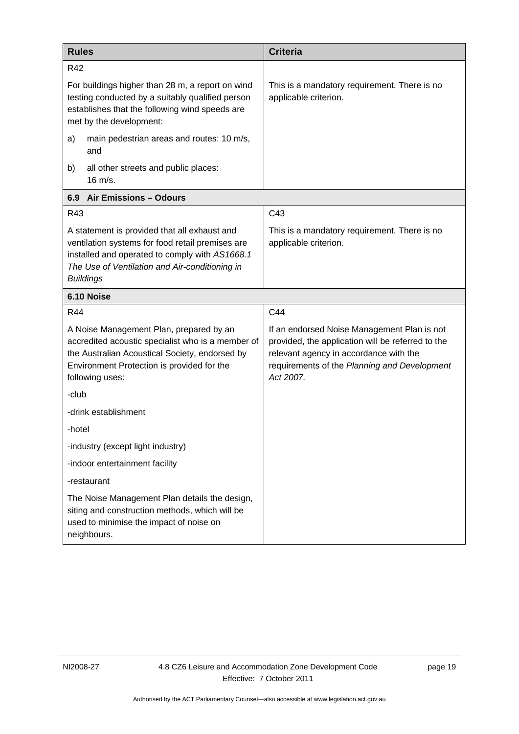<span id="page-22-2"></span><span id="page-22-1"></span><span id="page-22-0"></span>

| <b>Rules</b>                                                                                                                                                                                                             | <b>Criteria</b>                                                                                                                                                                                         |
|--------------------------------------------------------------------------------------------------------------------------------------------------------------------------------------------------------------------------|---------------------------------------------------------------------------------------------------------------------------------------------------------------------------------------------------------|
| R42                                                                                                                                                                                                                      |                                                                                                                                                                                                         |
| For buildings higher than 28 m, a report on wind<br>testing conducted by a suitably qualified person<br>establishes that the following wind speeds are<br>met by the development:                                        | This is a mandatory requirement. There is no<br>applicable criterion.                                                                                                                                   |
| a)<br>main pedestrian areas and routes: 10 m/s,<br>and                                                                                                                                                                   |                                                                                                                                                                                                         |
| b)<br>all other streets and public places:<br>$16 \text{ m/s}.$                                                                                                                                                          |                                                                                                                                                                                                         |
| 6.9 Air Emissions - Odours                                                                                                                                                                                               |                                                                                                                                                                                                         |
| R43                                                                                                                                                                                                                      | C43                                                                                                                                                                                                     |
| A statement is provided that all exhaust and<br>ventilation systems for food retail premises are<br>installed and operated to comply with AS1668.1<br>The Use of Ventilation and Air-conditioning in<br><b>Buildings</b> | This is a mandatory requirement. There is no<br>applicable criterion.                                                                                                                                   |
| 6.10 Noise                                                                                                                                                                                                               |                                                                                                                                                                                                         |
| R44                                                                                                                                                                                                                      | C44                                                                                                                                                                                                     |
| A Noise Management Plan, prepared by an<br>accredited acoustic specialist who is a member of<br>the Australian Acoustical Society, endorsed by<br>Environment Protection is provided for the<br>following uses:          | If an endorsed Noise Management Plan is not<br>provided, the application will be referred to the<br>relevant agency in accordance with the<br>requirements of the Planning and Development<br>Act 2007. |
| -club                                                                                                                                                                                                                    |                                                                                                                                                                                                         |
| -drink establishment                                                                                                                                                                                                     |                                                                                                                                                                                                         |
| -hotel                                                                                                                                                                                                                   |                                                                                                                                                                                                         |
| -industry (except light industry)                                                                                                                                                                                        |                                                                                                                                                                                                         |
| -indoor entertainment facility                                                                                                                                                                                           |                                                                                                                                                                                                         |
| -restaurant                                                                                                                                                                                                              |                                                                                                                                                                                                         |
| The Noise Management Plan details the design,<br>siting and construction methods, which will be<br>used to minimise the impact of noise on<br>neighbours.                                                                |                                                                                                                                                                                                         |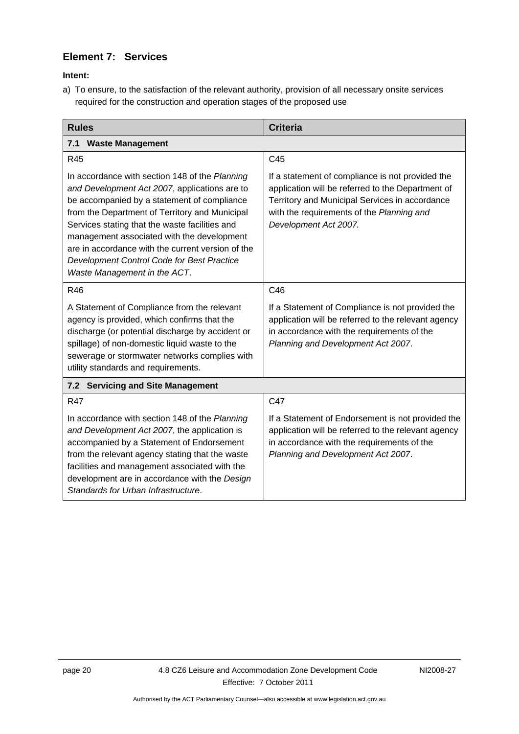# **Element 7: Services**

**Intent:** 

a) To ensure, to the satisfaction of the relevant authority, provision of all necessary onsite services required for the construction and operation stages of the proposed use

<span id="page-23-2"></span><span id="page-23-1"></span><span id="page-23-0"></span>

| <b>Rules</b>                                                                                                                                                                                                                                                                                                                                                                                                                        | <b>Criteria</b>                                                                                                                                                                                                               |  |
|-------------------------------------------------------------------------------------------------------------------------------------------------------------------------------------------------------------------------------------------------------------------------------------------------------------------------------------------------------------------------------------------------------------------------------------|-------------------------------------------------------------------------------------------------------------------------------------------------------------------------------------------------------------------------------|--|
| <b>Waste Management</b><br>7.1                                                                                                                                                                                                                                                                                                                                                                                                      |                                                                                                                                                                                                                               |  |
| R45                                                                                                                                                                                                                                                                                                                                                                                                                                 | C45                                                                                                                                                                                                                           |  |
| In accordance with section 148 of the Planning<br>and Development Act 2007, applications are to<br>be accompanied by a statement of compliance<br>from the Department of Territory and Municipal<br>Services stating that the waste facilities and<br>management associated with the development<br>are in accordance with the current version of the<br>Development Control Code for Best Practice<br>Waste Management in the ACT. | If a statement of compliance is not provided the<br>application will be referred to the Department of<br>Territory and Municipal Services in accordance<br>with the requirements of the Planning and<br>Development Act 2007. |  |
| <b>R46</b>                                                                                                                                                                                                                                                                                                                                                                                                                          | C46                                                                                                                                                                                                                           |  |
| A Statement of Compliance from the relevant<br>agency is provided, which confirms that the<br>discharge (or potential discharge by accident or<br>spillage) of non-domestic liquid waste to the<br>sewerage or stormwater networks complies with<br>utility standards and requirements.                                                                                                                                             | If a Statement of Compliance is not provided the<br>application will be referred to the relevant agency<br>in accordance with the requirements of the<br>Planning and Development Act 2007.                                   |  |
| 7.2 Servicing and Site Management                                                                                                                                                                                                                                                                                                                                                                                                   |                                                                                                                                                                                                                               |  |
| <b>R47</b>                                                                                                                                                                                                                                                                                                                                                                                                                          | C47                                                                                                                                                                                                                           |  |
| In accordance with section 148 of the Planning<br>and Development Act 2007, the application is<br>accompanied by a Statement of Endorsement<br>from the relevant agency stating that the waste<br>facilities and management associated with the<br>development are in accordance with the Design<br>Standards for Urban Infrastructure.                                                                                             | If a Statement of Endorsement is not provided the<br>application will be referred to the relevant agency<br>in accordance with the requirements of the<br>Planning and Development Act 2007.                                  |  |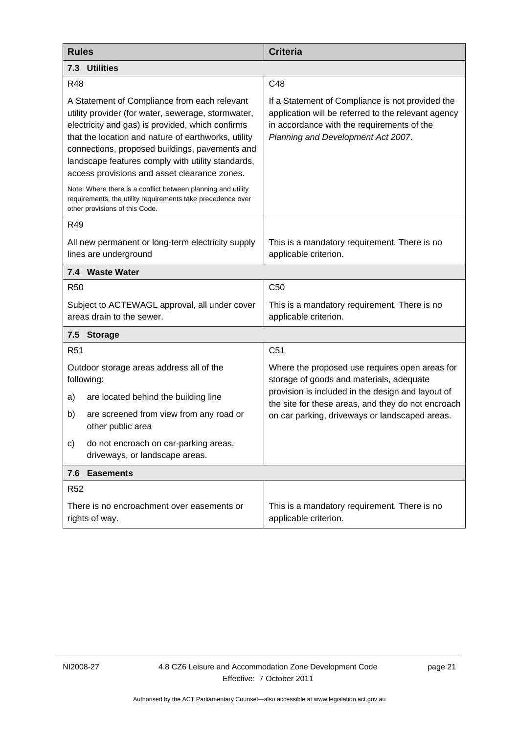| <b>Rules</b>                                                                                                                                                                                                                                                                                                                                                         | <b>Criteria</b>                                                                                                                                                                             |
|----------------------------------------------------------------------------------------------------------------------------------------------------------------------------------------------------------------------------------------------------------------------------------------------------------------------------------------------------------------------|---------------------------------------------------------------------------------------------------------------------------------------------------------------------------------------------|
| 7.3 Utilities                                                                                                                                                                                                                                                                                                                                                        |                                                                                                                                                                                             |
| <b>R48</b>                                                                                                                                                                                                                                                                                                                                                           | C48                                                                                                                                                                                         |
| A Statement of Compliance from each relevant<br>utility provider (for water, sewerage, stormwater,<br>electricity and gas) is provided, which confirms<br>that the location and nature of earthworks, utility<br>connections, proposed buildings, pavements and<br>landscape features comply with utility standards,<br>access provisions and asset clearance zones. | If a Statement of Compliance is not provided the<br>application will be referred to the relevant agency<br>in accordance with the requirements of the<br>Planning and Development Act 2007. |
| Note: Where there is a conflict between planning and utility<br>requirements, the utility requirements take precedence over<br>other provisions of this Code.                                                                                                                                                                                                        |                                                                                                                                                                                             |
| R49                                                                                                                                                                                                                                                                                                                                                                  |                                                                                                                                                                                             |
| All new permanent or long-term electricity supply<br>lines are underground                                                                                                                                                                                                                                                                                           | This is a mandatory requirement. There is no<br>applicable criterion.                                                                                                                       |
| 7.4 Waste Water                                                                                                                                                                                                                                                                                                                                                      |                                                                                                                                                                                             |
| <b>R50</b>                                                                                                                                                                                                                                                                                                                                                           | C <sub>50</sub>                                                                                                                                                                             |
| Subject to ACTEWAGL approval, all under cover<br>areas drain to the sewer.                                                                                                                                                                                                                                                                                           | This is a mandatory requirement. There is no<br>applicable criterion.                                                                                                                       |
| 7.5<br><b>Storage</b>                                                                                                                                                                                                                                                                                                                                                |                                                                                                                                                                                             |
| R <sub>51</sub>                                                                                                                                                                                                                                                                                                                                                      | C <sub>51</sub>                                                                                                                                                                             |
| Outdoor storage areas address all of the<br>following:                                                                                                                                                                                                                                                                                                               | Where the proposed use requires open areas for<br>storage of goods and materials, adequate                                                                                                  |
| a)<br>are located behind the building line                                                                                                                                                                                                                                                                                                                           | provision is included in the design and layout of<br>the site for these areas, and they do not encroach                                                                                     |
| b)<br>are screened from view from any road or<br>other public area                                                                                                                                                                                                                                                                                                   | on car parking, driveways or landscaped areas.                                                                                                                                              |
| do not encroach on car-parking areas,<br>C)<br>driveways, or landscape areas.                                                                                                                                                                                                                                                                                        |                                                                                                                                                                                             |
| 7.6 Easements                                                                                                                                                                                                                                                                                                                                                        |                                                                                                                                                                                             |
| <b>R52</b>                                                                                                                                                                                                                                                                                                                                                           |                                                                                                                                                                                             |
| There is no encroachment over easements or<br>rights of way.                                                                                                                                                                                                                                                                                                         | This is a mandatory requirement. There is no<br>applicable criterion.                                                                                                                       |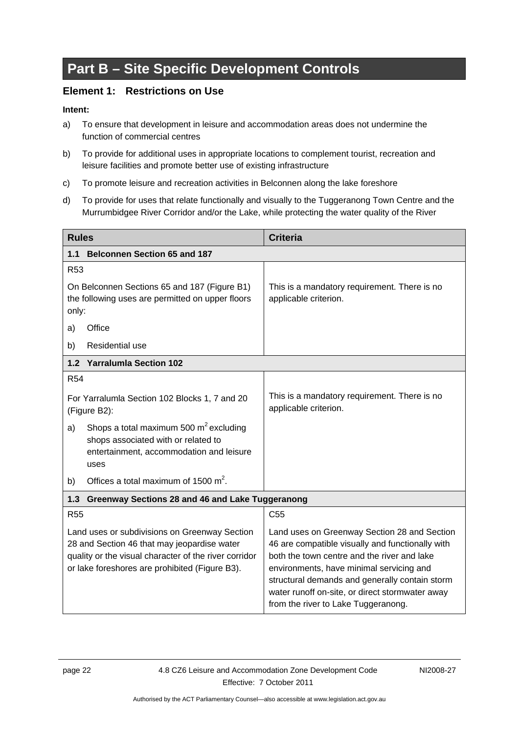# <span id="page-25-0"></span>**Part B – Site Specific Development Controls**

# **Element 1: Restrictions on Use**

- a) To ensure that development in leisure and accommodation areas does not undermine the function of commercial centres
- <span id="page-25-1"></span>b) To provide for additional uses in appropriate locations to complement tourist, recreation and leisure facilities and promote better use of existing infrastructure
- c) To promote leisure and recreation activities in Belconnen along the lake foreshore
- d) To provide for uses that relate functionally and visually to the Tuggeranong Town Centre and the Murrumbidgee River Corridor and/or the Lake, while protecting the water quality of the River

<span id="page-25-2"></span>

| <b>Rules</b>                                                                                                                                                                                            | <b>Criteria</b>                                                                                                                                                                                                                                                                                                                         |  |
|---------------------------------------------------------------------------------------------------------------------------------------------------------------------------------------------------------|-----------------------------------------------------------------------------------------------------------------------------------------------------------------------------------------------------------------------------------------------------------------------------------------------------------------------------------------|--|
| <b>Belconnen Section 65 and 187</b><br>1.1                                                                                                                                                              |                                                                                                                                                                                                                                                                                                                                         |  |
| R <sub>53</sub>                                                                                                                                                                                         |                                                                                                                                                                                                                                                                                                                                         |  |
| On Belconnen Sections 65 and 187 (Figure B1)<br>the following uses are permitted on upper floors<br>only:                                                                                               | This is a mandatory requirement. There is no<br>applicable criterion.                                                                                                                                                                                                                                                                   |  |
| Office<br>a)                                                                                                                                                                                            |                                                                                                                                                                                                                                                                                                                                         |  |
| <b>Residential use</b><br>b)                                                                                                                                                                            |                                                                                                                                                                                                                                                                                                                                         |  |
| 1.2 Yarralumla Section 102                                                                                                                                                                              |                                                                                                                                                                                                                                                                                                                                         |  |
| <b>R54</b>                                                                                                                                                                                              |                                                                                                                                                                                                                                                                                                                                         |  |
| For Yarralumla Section 102 Blocks 1, 7 and 20<br>(Figure B2):                                                                                                                                           | This is a mandatory requirement. There is no<br>applicable criterion.                                                                                                                                                                                                                                                                   |  |
| Shops a total maximum 500 $m^2$ excluding<br>a)<br>shops associated with or related to<br>entertainment, accommodation and leisure<br>uses                                                              |                                                                                                                                                                                                                                                                                                                                         |  |
| Offices a total maximum of 1500 $m^2$ .<br>b)                                                                                                                                                           |                                                                                                                                                                                                                                                                                                                                         |  |
| 1.3<br>Greenway Sections 28 and 46 and Lake Tuggeranong                                                                                                                                                 |                                                                                                                                                                                                                                                                                                                                         |  |
| <b>R55</b>                                                                                                                                                                                              | C <sub>55</sub>                                                                                                                                                                                                                                                                                                                         |  |
| Land uses or subdivisions on Greenway Section<br>28 and Section 46 that may jeopardise water<br>quality or the visual character of the river corridor<br>or lake foreshores are prohibited (Figure B3). | Land uses on Greenway Section 28 and Section<br>46 are compatible visually and functionally with<br>both the town centre and the river and lake<br>environments, have minimal servicing and<br>structural demands and generally contain storm<br>water runoff on-site, or direct stormwater away<br>from the river to Lake Tuggeranong. |  |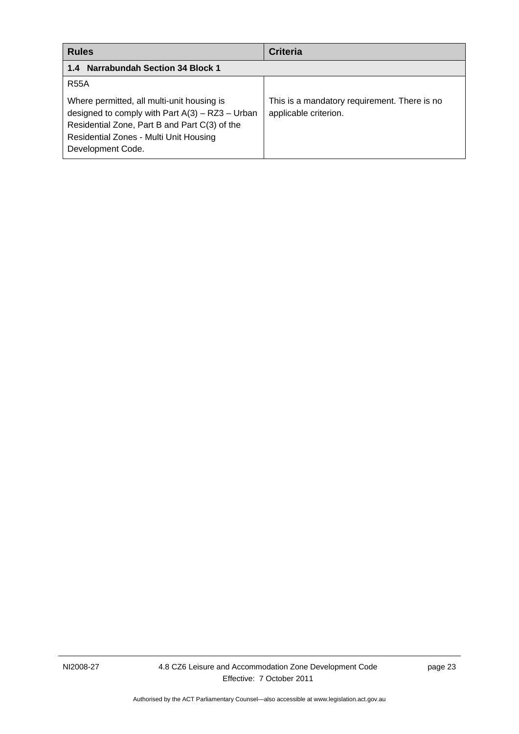<span id="page-26-3"></span><span id="page-26-2"></span><span id="page-26-1"></span><span id="page-26-0"></span>

| <b>Rules</b>                                                                                                                                                                                                    | <b>Criteria</b>                                                       |
|-----------------------------------------------------------------------------------------------------------------------------------------------------------------------------------------------------------------|-----------------------------------------------------------------------|
| <b>Narrabundah Section 34 Block 1</b><br>1.4                                                                                                                                                                    |                                                                       |
| <b>R55A</b>                                                                                                                                                                                                     |                                                                       |
| Where permitted, all multi-unit housing is<br>designed to comply with Part $A(3) - RZ3 - Urban$<br>Residential Zone, Part B and Part C(3) of the<br>Residential Zones - Multi Unit Housing<br>Development Code. | This is a mandatory requirement. There is no<br>applicable criterion. |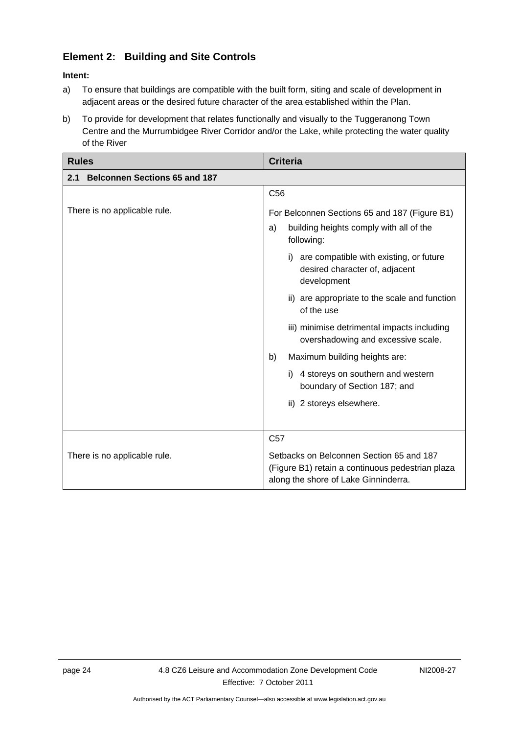# **Element 2: Building and Site Controls**

- a) To ensure that buildings are compatible with the built form, siting and scale of development in adjacent areas or the desired future character of the area established within the Plan.
- b) To provide for development that relates functionally and visually to the Tuggeranong Town Centre and the Murrumbidgee River Corridor and/or the Lake, while protecting the water quality of the River

| <b>Rules</b>                                | <b>Criteria</b>                                                                                                                                                                                                                                                                                                                                                                                                                                                                                                  |
|---------------------------------------------|------------------------------------------------------------------------------------------------------------------------------------------------------------------------------------------------------------------------------------------------------------------------------------------------------------------------------------------------------------------------------------------------------------------------------------------------------------------------------------------------------------------|
| <b>Belconnen Sections 65 and 187</b><br>2.1 |                                                                                                                                                                                                                                                                                                                                                                                                                                                                                                                  |
|                                             | C <sub>56</sub>                                                                                                                                                                                                                                                                                                                                                                                                                                                                                                  |
| There is no applicable rule.                | For Belconnen Sections 65 and 187 (Figure B1)<br>building heights comply with all of the<br>a)<br>following:<br>are compatible with existing, or future<br>i)<br>desired character of, adjacent<br>development<br>ii) are appropriate to the scale and function<br>of the use<br>iii) minimise detrimental impacts including<br>overshadowing and excessive scale.<br>Maximum building heights are:<br>b)<br>4 storeys on southern and western<br>i)<br>boundary of Section 187; and<br>ii) 2 storeys elsewhere. |
|                                             | C <sub>57</sub>                                                                                                                                                                                                                                                                                                                                                                                                                                                                                                  |
| There is no applicable rule.                | Setbacks on Belconnen Section 65 and 187<br>(Figure B1) retain a continuous pedestrian plaza<br>along the shore of Lake Ginninderra.                                                                                                                                                                                                                                                                                                                                                                             |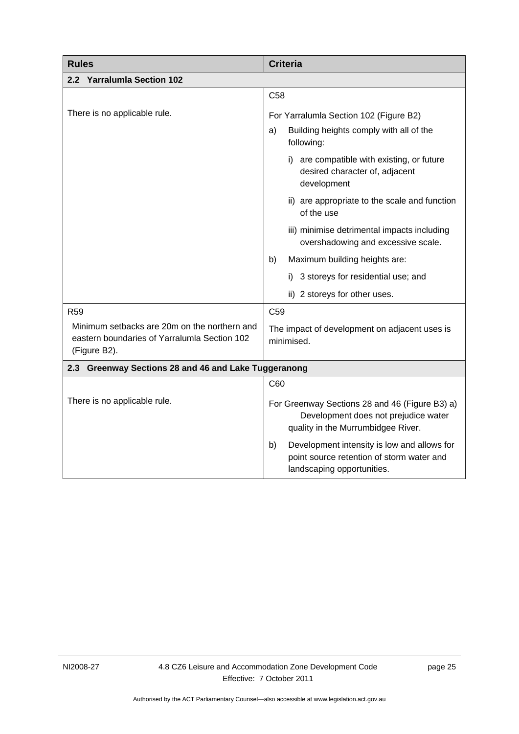<span id="page-28-4"></span><span id="page-28-3"></span><span id="page-28-2"></span><span id="page-28-1"></span><span id="page-28-0"></span>

| <b>Rules</b>                                                                                                 | <b>Criteria</b>                                                                                                              |  |
|--------------------------------------------------------------------------------------------------------------|------------------------------------------------------------------------------------------------------------------------------|--|
| 2.2 Yarralumla Section 102                                                                                   |                                                                                                                              |  |
|                                                                                                              | C <sub>58</sub>                                                                                                              |  |
| There is no applicable rule.                                                                                 | For Yarralumla Section 102 (Figure B2)                                                                                       |  |
|                                                                                                              | Building heights comply with all of the<br>a)<br>following:                                                                  |  |
|                                                                                                              | i) are compatible with existing, or future<br>desired character of, adjacent<br>development                                  |  |
|                                                                                                              | ii) are appropriate to the scale and function<br>of the use                                                                  |  |
|                                                                                                              | iii) minimise detrimental impacts including<br>overshadowing and excessive scale.                                            |  |
|                                                                                                              | Maximum building heights are:<br>b)                                                                                          |  |
|                                                                                                              | 3 storeys for residential use; and<br>İ).                                                                                    |  |
|                                                                                                              | ii) 2 storeys for other uses.                                                                                                |  |
| R <sub>59</sub>                                                                                              | C <sub>59</sub>                                                                                                              |  |
| Minimum setbacks are 20m on the northern and<br>eastern boundaries of Yarralumla Section 102<br>(Figure B2). | The impact of development on adjacent uses is<br>minimised.                                                                  |  |
| 2.3 Greenway Sections 28 and 46 and Lake Tuggeranong                                                         |                                                                                                                              |  |
|                                                                                                              | C60                                                                                                                          |  |
| There is no applicable rule.                                                                                 | For Greenway Sections 28 and 46 (Figure B3) a)<br>Development does not prejudice water<br>quality in the Murrumbidgee River. |  |
|                                                                                                              | Development intensity is low and allows for<br>b)<br>point source retention of storm water and<br>landscaping opportunities. |  |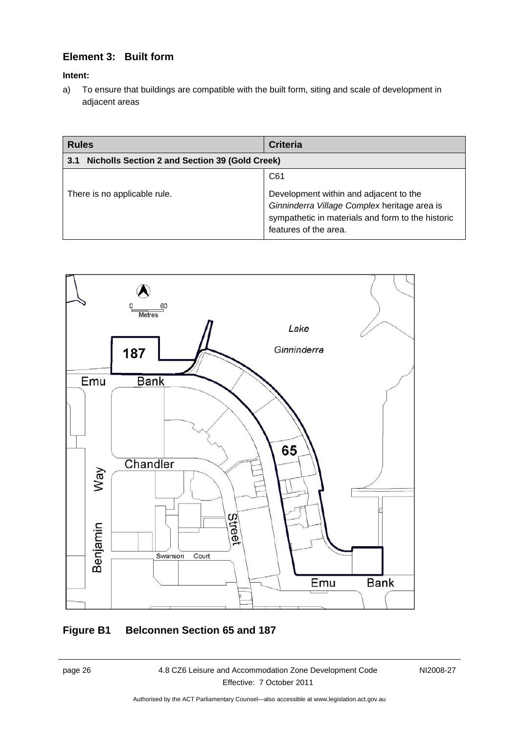# **Element 3: Built form**

## <span id="page-29-0"></span>**Intent:**

a) To ensure that buildings are compatible with the built form, siting and scale of development in adjacent areas

| <b>Rules</b>                                                 | <b>Criteria</b>                                                                                                                                                      |
|--------------------------------------------------------------|----------------------------------------------------------------------------------------------------------------------------------------------------------------------|
| <b>Nicholls Section 2 and Section 39 (Gold Creek)</b><br>3.1 |                                                                                                                                                                      |
|                                                              | C61                                                                                                                                                                  |
| There is no applicable rule.                                 | Development within and adjacent to the<br>Ginninderra Village Complex heritage area is<br>sympathetic in materials and form to the historic<br>features of the area. |



# **Figure B1 Belconnen Section 65 and 187**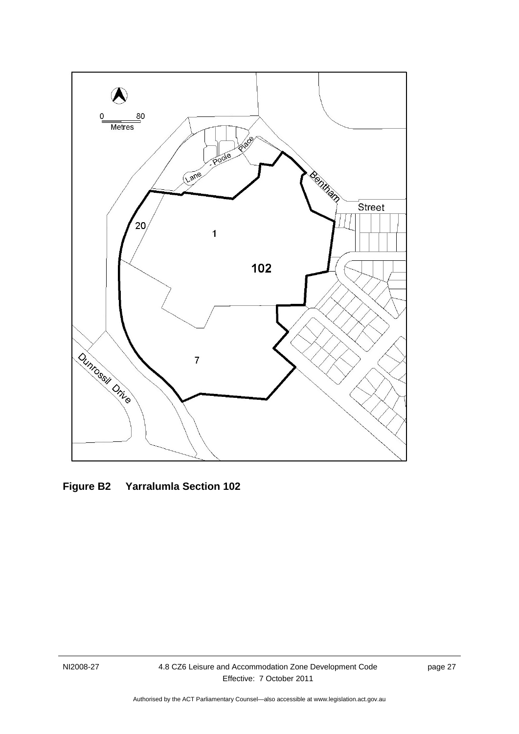<span id="page-30-1"></span><span id="page-30-0"></span>